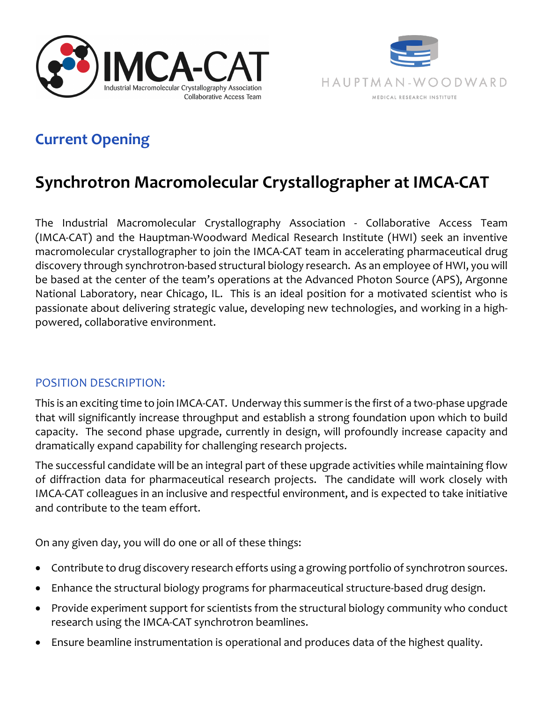



## **Current Opening**

# **Synchrotron Macromolecular Crystallographer at IMCA-CAT**

The Industrial Macromolecular Crystallography Association - Collaborative Access Team (IMCA-CAT) and the Hauptman-Woodward Medical Research Institute (HWI) seek an inventive macromolecular crystallographer to join the IMCA-CAT team in accelerating pharmaceutical drug discovery through synchrotron-based structural biology research. As an employee of HWI, you will be based at the center of the team's operations at the Advanced Photon Source (APS), Argonne National Laboratory, near Chicago, IL. This is an ideal position for a motivated scientist who is passionate about delivering strategic value, developing new technologies, and working in a highpowered, collaborative environment.

### POSITION DESCRIPTION:

This is an exciting time to join IMCA-CAT. Underway this summer is the first of a two-phase upgrade that will significantly increase throughput and establish a strong foundation upon which to build capacity. The second phase upgrade, currently in design, will profoundly increase capacity and dramatically expand capability for challenging research projects.

The successful candidate will be an integral part of these upgrade activities while maintaining flow of diffraction data for pharmaceutical research projects. The candidate will work closely with IMCA-CAT colleagues in an inclusive and respectful environment, and is expected to take initiative and contribute to the team effort.

On any given day, you will do one or all of these things:

- Contribute to drug discovery research efforts using a growing portfolio of synchrotron sources.
- Enhance the structural biology programs for pharmaceutical structure-based drug design.
- Provide experiment support for scientists from the structural biology community who conduct research using the IMCA-CAT synchrotron beamlines.
- Ensure beamline instrumentation is operational and produces data of the highest quality.